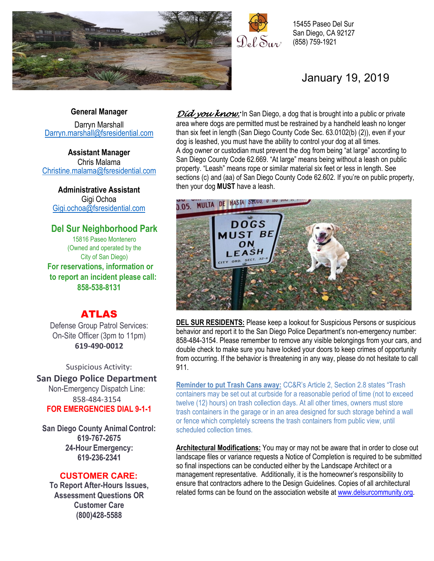

 $P_0 \ell_0 S_{1/2}$ 

15455 Paseo Del Sur San Diego, CA 92127 (858) 759-1921

## January 19, 2019

#### **General Manager**

Darryn Marshall [Darryn.marshall@fsresidential.com](mailto:Darryn.marshall@fsresidential.com)

**Assistant Manager** Chris Malama [Christine.malama@fsresidential.com](mailto:Christine.malama@fsresidential.com)

**Administrative Assistant**  Gigi Ochoa [Gigi.ochoa@fsresidential.com](mailto:Gigi.ochoa@fsresidential.com)

#### **Del Sur Neighborhood Park** 15816 Paseo Montenero (Owned and operated by the City of San Diego) **For reservations, information or to report an incident please call: 858-538-8131**

## ATLAS

Defense Group Patrol Services: On-Site Officer (3pm to 11pm) **619-490-0012**

Suspicious Activity:

**San Diego Police Department** Non-Emergency Dispatch Line: 858-484-3154 **FOR EMERGENCIES DIAL 9-1-1**

**San Diego County Animal Control: 619-767-2675 24-Hour Emergency: 619-236-2341**

### **CUSTOMER CARE:**

**To Report After-Hours Issues, Assessment Questions OR Customer Care (800)428-5588**

*Did you know:* In San Diego, a dog that is brought into a public or private area where dogs are permitted must be restrained by a handheld leash no longer than six feet in length (San Diego County Code Sec. 63.0102(b) (2)), even if your dog is leashed, you must have the ability to control your dog at all times. A dog owner or custodian must prevent the dog from being "at large" according to San Diego County Code 62.669. "At large" means being without a leash on public property. "Leash" means rope or similar material six feet or less in length. See sections (c) and (aa) of San Diego County Code 62.602. If you're on public property, then your dog **MUST** have a leash.



**DEL SUR RESIDENTS:** Please keep a lookout for Suspicious Persons or suspicious behavior and report it to the San Diego Police Department's non-emergency number: 858-484-3154. Please remember to remove any visible belongings from your cars, and double check to make sure you have locked your doors to keep crimes of opportunity from occurring. If the behavior is threatening in any way, please do not hesitate to call 911.

**Reminder to put Trash Cans away:** CC&R's Article 2, Section 2.8 states "Trash containers may be set out at curbside for a reasonable period of time (not to exceed twelve (12) hours) on trash collection days. At all other times, owners must store trash containers in the garage or in an area designed for such storage behind a wall or fence which completely screens the trash containers from public view, until scheduled collection times.

**Architectural Modifications:** You may or may not be aware that in order to close out landscape files or variance requests a Notice of Completion is required to be submitted so final inspections can be conducted either by the Landscape Architect or a management representative. Additionally, it is the homeowner's responsibility to ensure that contractors adhere to the Design Guidelines. Copies of all architectural related forms can be found on the association website at [www.delsurcommunity.org.](http://www.delsurcommunity.org/)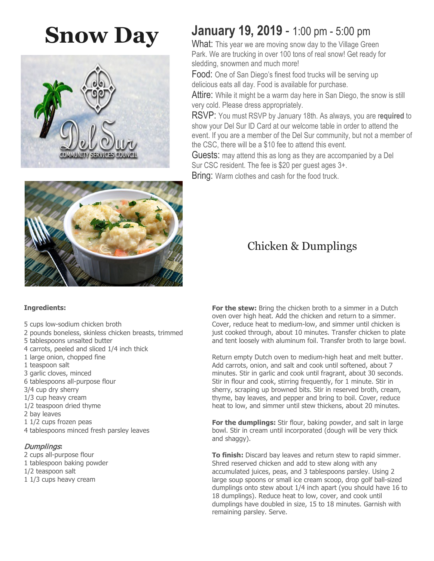# **Snow Day**



#### **Ingredients:**

- 5 cups low-sodium chicken broth
- 2 pounds boneless, skinless chicken breasts, trimmed
- 5 tablespoons unsalted butter
- 4 carrots, peeled and sliced 1/4 inch thick
- 1 large onion, chopped fine
- 1 teaspoon salt
- 3 garlic cloves, minced
- 6 tablespoons all-purpose flour
- 3/4 cup dry sherry
- 1/3 cup heavy cream
- 1/2 teaspoon dried thyme
- 2 bay leaves
- 1 1/2 cups frozen peas
- 4 tablespoons minced fresh parsley leaves

#### Dumplings**:**

- 2 cups all-purpose flour
- 1 tablespoon baking powder
- 1/2 teaspoon salt
- 1 1/3 cups heavy cream

## **January 19, 2019** - 1:00 pm - 5:00 pm

What: This year we are moving snow day to the Village Green Park. We are trucking in over 100 tons of real snow! Get ready for sledding, snowmen and much more!

Food: One of San Diego's finest food trucks will be serving up delicious eats all day. Food is available for purchase.

Attire: While it might be a warm day here in San Diego, the snow is still very cold. Please dress appropriately.

RSVP: You must RSVP by January 18th. As always, you are r**equired** to show your Del Sur ID Card at our welcome table in order to attend the event. If you are a member of the Del Sur community, but not a member of the CSC, there will be a \$10 fee to attend this event.

Guests: may attend this as long as they are accompanied by a Del Sur CSC resident. The fee is \$20 per guest ages 3+.

Bring: Warm clothes and cash for the food truck.

## Chicken & Dumplings

For the stew: Bring the chicken broth to a simmer in a Dutch oven over high heat. Add the chicken and return to a simmer. Cover, reduce heat to medium-low, and simmer until chicken is just cooked through, about 10 minutes. Transfer chicken to plate and tent loosely with aluminum foil. Transfer broth to large bowl.

Return empty Dutch oven to medium-high heat and melt butter. Add carrots, onion, and salt and cook until softened, about 7 minutes. Stir in garlic and cook until fragrant, about 30 seconds. Stir in flour and cook, stirring frequently, for 1 minute. Stir in sherry, scraping up browned bits. Stir in reserved broth, cream, thyme, bay leaves, and pepper and bring to boil. Cover, reduce heat to low, and simmer until stew thickens, about 20 minutes.

**For the dumplings:** Stir flour, baking powder, and salt in large bowl. Stir in cream until incorporated (dough will be very thick and shaggy).

**To finish:** Discard bay leaves and return stew to rapid simmer. Shred reserved chicken and add to stew along with any accumulated juices, peas, and 3 tablespoons parsley. Using 2 large soup spoons or small ice cream scoop, drop golf ball-sized dumplings onto stew about 1/4 inch apart (you should have 16 to 18 dumplings). Reduce heat to low, cover, and cook until dumplings have doubled in size, 15 to 18 minutes. Garnish with remaining parsley. Serve.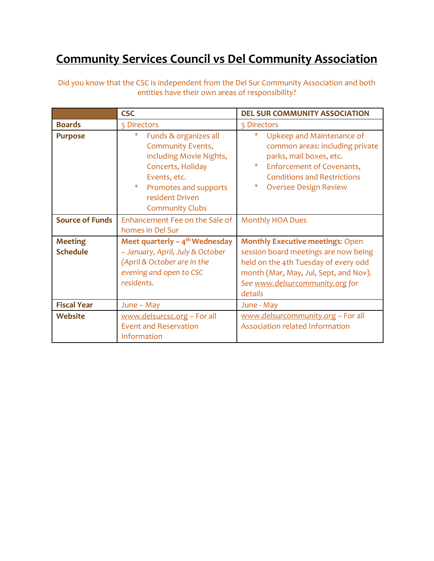## **Community Services Council vs Del Community Association**

|                        | <b>CSC</b>                                                                                                                                                                                        | <b>DEL SUR COMMUNITY ASSOCIATION</b>                                                                                                                                                                      |
|------------------------|---------------------------------------------------------------------------------------------------------------------------------------------------------------------------------------------------|-----------------------------------------------------------------------------------------------------------------------------------------------------------------------------------------------------------|
| <b>Boards</b>          | 5 Directors                                                                                                                                                                                       | 5 Directors                                                                                                                                                                                               |
| <b>Purpose</b>         | 柴<br>Funds & organizes all<br><b>Community Events,</b><br>including Movie Nights,<br>Concerts, Holiday<br>Events, etc.<br>米<br>Promotes and supports<br>resident Driven<br><b>Community Clubs</b> | ₩<br>Upkeep and Maintenance of<br>common areas: including private<br>parks, mail boxes, etc.<br>米<br>Enforcement of Covenants,<br><b>Conditions and Restrictions</b><br>₩<br><b>Oversee Design Review</b> |
| <b>Source of Funds</b> | Enhancement Fee on the Sale of<br>homes in Del Sur                                                                                                                                                | <b>Monthly HOA Dues</b>                                                                                                                                                                                   |
| <b>Meeting</b>         | Meet quarterly $-4$ <sup>th</sup> Wednesday                                                                                                                                                       | <b>Monthly Executive meetings: Open</b>                                                                                                                                                                   |
| <b>Schedule</b>        | - January, April, July & October<br>(April & October are in the<br>evening and open to CSC<br>residents.                                                                                          | session board meetings are now being<br>held on the 4th Tuesday of every odd<br>month (Mar, May, Jul, Sept, and Nov).<br>See www.delsurcommunity.org for<br>details                                       |
| <b>Fiscal Year</b>     | June - May                                                                                                                                                                                        | June - May                                                                                                                                                                                                |
| Website                | www.delsurcsc.org - For all<br><b>Event and Reservation</b><br>Information                                                                                                                        | www.delsurcommunity.org - For all<br><b>Association related Information</b>                                                                                                                               |

Did you know that the CSC is independent from the Del Sur Community Association and both entities have their own areas of responsibility?